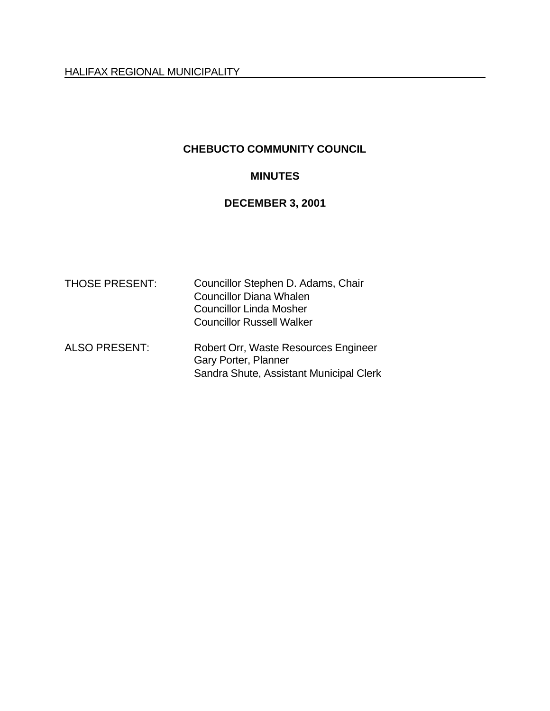## **CHEBUCTO COMMUNITY COUNCIL**

## **MINUTES**

### **DECEMBER 3, 2001**

| <b>THOSE PRESENT:</b> | Councillor Stephen D. Adams, Chair<br><b>Councillor Diana Whalen</b><br><b>Councillor Linda Mosher</b><br><b>Councillor Russell Walker</b> |
|-----------------------|--------------------------------------------------------------------------------------------------------------------------------------------|
| <b>ALSO PRESENT:</b>  | Robert Orr, Waste Resources Engineer<br>Gary Porter, Planner<br>Sandra Shute, Assistant Municipal Clerk                                    |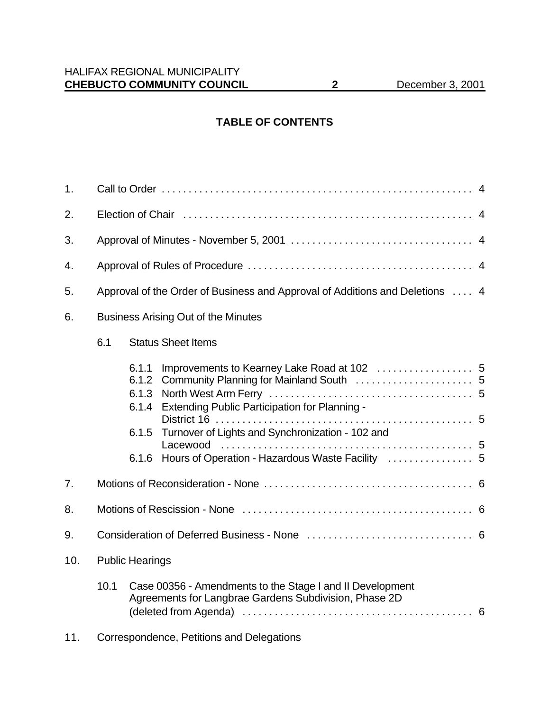# **TABLE OF CONTENTS**

| 1.  |                                            |                                           |                                                                                                                    |  |
|-----|--------------------------------------------|-------------------------------------------|--------------------------------------------------------------------------------------------------------------------|--|
| 2.  |                                            |                                           |                                                                                                                    |  |
| 3.  |                                            |                                           |                                                                                                                    |  |
| 4.  |                                            |                                           |                                                                                                                    |  |
| 5.  |                                            |                                           | Approval of the Order of Business and Approval of Additions and Deletions  4                                       |  |
| 6.  | <b>Business Arising Out of the Minutes</b> |                                           |                                                                                                                    |  |
|     | 6.1                                        |                                           | <b>Status Sheet Items</b>                                                                                          |  |
|     |                                            | 6.1.1<br>6.1.2<br>6.1.3<br>6.1.4<br>6.1.5 | Extending Public Participation for Planning -<br>Turnover of Lights and Synchronization - 102 and                  |  |
| 7.  |                                            |                                           |                                                                                                                    |  |
| 8.  |                                            |                                           |                                                                                                                    |  |
| 9.  |                                            |                                           |                                                                                                                    |  |
| 10. | <b>Public Hearings</b>                     |                                           |                                                                                                                    |  |
|     | 10.1                                       |                                           | Case 00356 - Amendments to the Stage I and II Development<br>Agreements for Langbrae Gardens Subdivision, Phase 2D |  |
| 11. |                                            |                                           | Correspondence, Petitions and Delegations                                                                          |  |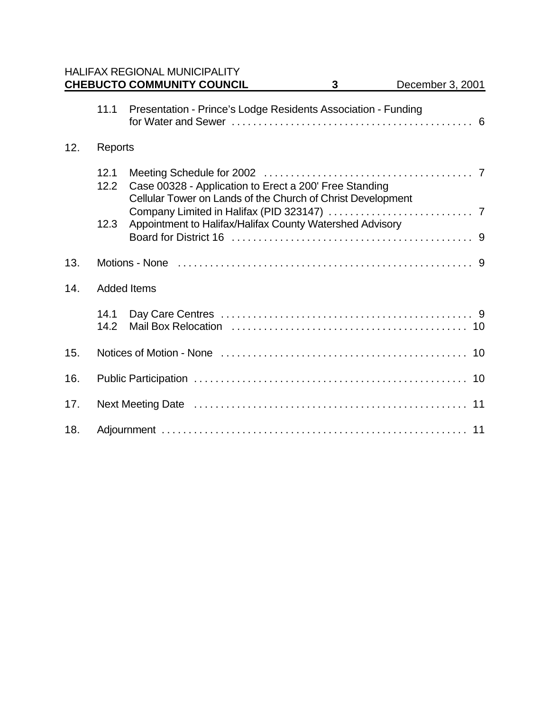|     |              | <b>HALIFAX REGIONAL MUNICIPALITY</b><br><b>CHEBUCTO COMMUNITY COUNCIL</b>                                             | 3 | December 3, 2001 |
|-----|--------------|-----------------------------------------------------------------------------------------------------------------------|---|------------------|
|     | 11.1         | Presentation - Prince's Lodge Residents Association - Funding                                                         |   |                  |
| 12. | Reports      |                                                                                                                       |   |                  |
|     | 12.1<br>12.2 | Case 00328 - Application to Erect a 200' Free Standing<br>Cellular Tower on Lands of the Church of Christ Development |   |                  |
|     | 12.3         | Appointment to Halifax/Halifax County Watershed Advisory                                                              |   |                  |
|     |              |                                                                                                                       |   |                  |
| 13. |              |                                                                                                                       |   |                  |
| 14. |              | <b>Added Items</b>                                                                                                    |   |                  |
|     | 14.1<br>14.2 |                                                                                                                       |   |                  |
| 15. |              |                                                                                                                       |   |                  |
| 16. |              |                                                                                                                       |   |                  |
| 17. |              |                                                                                                                       |   |                  |
| 18. |              |                                                                                                                       |   |                  |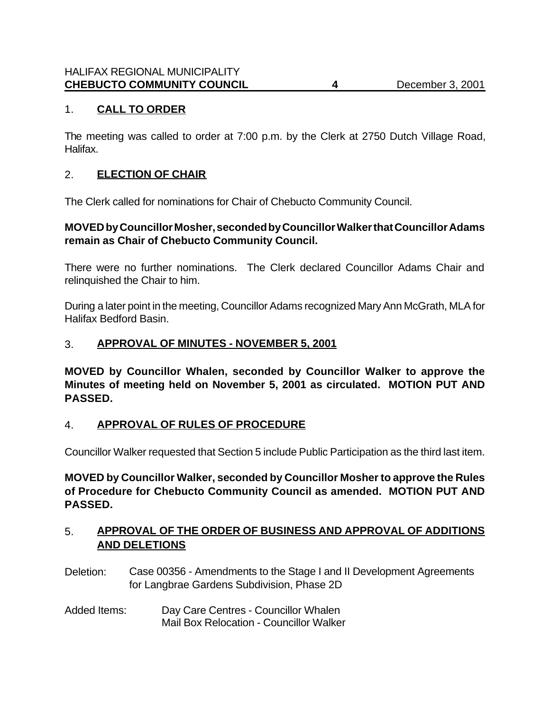# 1. **CALL TO ORDER**

The meeting was called to order at 7:00 p.m. by the Clerk at 2750 Dutch Village Road, Halifax.

### 2. **ELECTION OF CHAIR**

The Clerk called for nominations for Chair of Chebucto Community Council.

### **MOVED by Councillor Mosher, seconded by Councillor Walker that Councillor Adams remain as Chair of Chebucto Community Council.**

There were no further nominations. The Clerk declared Councillor Adams Chair and relinquished the Chair to him.

During a later point in the meeting, Councillor Adams recognized Mary Ann McGrath, MLA for Halifax Bedford Basin.

### 3. **APPROVAL OF MINUTES - NOVEMBER 5, 2001**

**MOVED by Councillor Whalen, seconded by Councillor Walker to approve the Minutes of meeting held on November 5, 2001 as circulated. MOTION PUT AND PASSED.**

## 4. **APPROVAL OF RULES OF PROCEDURE**

Councillor Walker requested that Section 5 include Public Participation as the third last item.

**MOVED by Councillor Walker, seconded by Councillor Mosher to approve the Rules of Procedure for Chebucto Community Council as amended. MOTION PUT AND PASSED.**

### 5. **APPROVAL OF THE ORDER OF BUSINESS AND APPROVAL OF ADDITIONS AND DELETIONS**

- Deletion: Case 00356 Amendments to the Stage I and II Development Agreements for Langbrae Gardens Subdivision, Phase 2D
- Added Items: Day Care Centres Councillor Whalen Mail Box Relocation - Councillor Walker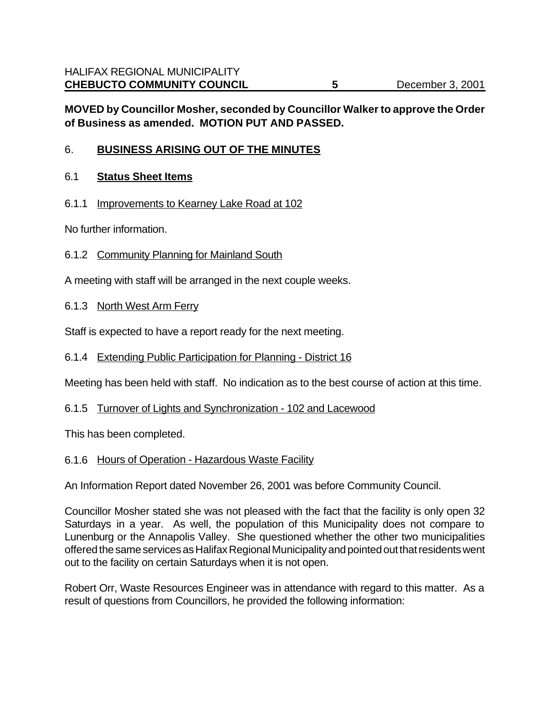## **MOVED by Councillor Mosher, seconded by Councillor Walker to approve the Order of Business as amended. MOTION PUT AND PASSED.**

## 6. **BUSINESS ARISING OUT OF THE MINUTES**

#### 6.1 **Status Sheet Items**

#### 6.1.1 Improvements to Kearney Lake Road at 102

No further information.

#### 6.1.2 Community Planning for Mainland South

A meeting with staff will be arranged in the next couple weeks.

### 6.1.3 North West Arm Ferry

Staff is expected to have a report ready for the next meeting.

#### 6.1.4 Extending Public Participation for Planning - District 16

Meeting has been held with staff. No indication as to the best course of action at this time.

#### 6.1.5 Turnover of Lights and Synchronization - 102 and Lacewood

This has been completed.

#### 6.1.6 Hours of Operation - Hazardous Waste Facility

An Information Report dated November 26, 2001 was before Community Council.

Councillor Mosher stated she was not pleased with the fact that the facility is only open 32 Saturdays in a year. As well, the population of this Municipality does not compare to Lunenburg or the Annapolis Valley. She questioned whether the other two municipalities offered the same services as Halifax Regional Municipality and pointed out that residents went out to the facility on certain Saturdays when it is not open.

Robert Orr, Waste Resources Engineer was in attendance with regard to this matter. As a result of questions from Councillors, he provided the following information: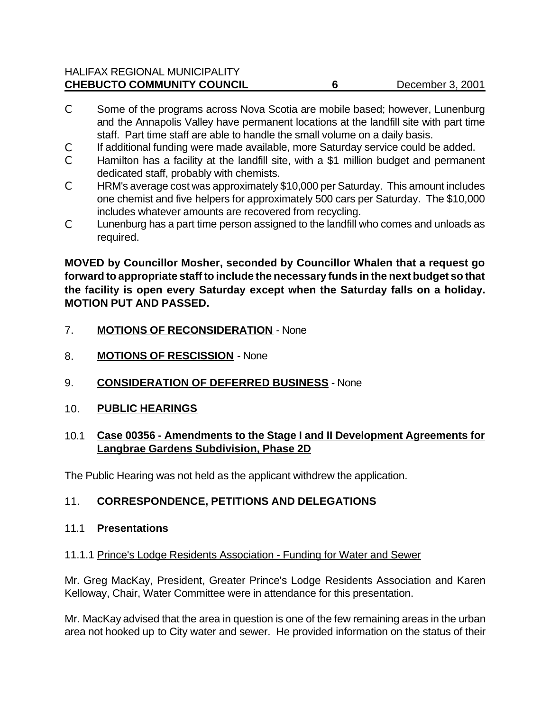| <b>HALIFAX REGIONAL MUNICIPALITY</b> |                  |
|--------------------------------------|------------------|
| <b>CHEBUCTO COMMUNITY COUNCIL</b>    | December 3, 2001 |

- C Some of the programs across Nova Scotia are mobile based; however, Lunenburg and the Annapolis Valley have permanent locations at the landfill site with part time staff. Part time staff are able to handle the small volume on a daily basis.
- C If additional funding were made available, more Saturday service could be added.
- C Hamilton has a facility at the landfill site, with a \$1 million budget and permanent dedicated staff, probably with chemists.
- C HRM's average cost was approximately \$10,000 per Saturday. This amount includes one chemist and five helpers for approximately 500 cars per Saturday. The \$10,000 includes whatever amounts are recovered from recycling.
- C Lunenburg has a part time person assigned to the landfill who comes and unloads as required.

**MOVED by Councillor Mosher, seconded by Councillor Whalen that a request go forward to appropriate staff to include the necessary funds in the next budget so that the facility is open every Saturday except when the Saturday falls on a holiday. MOTION PUT AND PASSED.**

- 7. **MOTIONS OF RECONSIDERATION** None
- 8. **MOTIONS OF RESCISSION** None
- 9. **CONSIDERATION OF DEFERRED BUSINESS** None
- 10. **PUBLIC HEARINGS**

#### 10.1 **Case 00356 - Amendments to the Stage I and II Development Agreements for Langbrae Gardens Subdivision, Phase 2D**

The Public Hearing was not held as the applicant withdrew the application.

#### 11. **CORRESPONDENCE, PETITIONS AND DELEGATIONS**

#### 11.1 **Presentations**

#### 11.1.1 Prince's Lodge Residents Association - Funding for Water and Sewer

Mr. Greg MacKay, President, Greater Prince's Lodge Residents Association and Karen Kelloway, Chair, Water Committee were in attendance for this presentation.

Mr. MacKay advised that the area in question is one of the few remaining areas in the urban area not hooked up to City water and sewer. He provided information on the status of their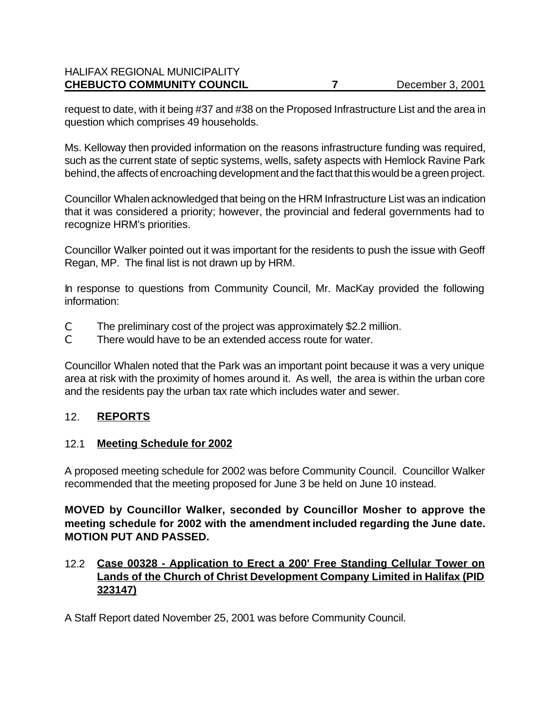#### HALIFAX REGIONAL MUNICIPALITY **CHEBUCTO COMMUNITY COUNCIL 7** December 3, 2001

request to date, with it being #37 and #38 on the Proposed Infrastructure List and the area in question which comprises 49 households.

Ms. Kelloway then provided information on the reasons infrastructure funding was required, such as the current state of septic systems, wells, safety aspects with Hemlock Ravine Park behind, the affects of encroaching development and the fact that this would be a green project.

Councillor Whalen acknowledged that being on the HRM Infrastructure List was an indication that it was considered a priority; however, the provincial and federal governments had to recognize HRM's priorities.

Councillor Walker pointed out it was important for the residents to push the issue with Geoff Regan, MP. The final list is not drawn up by HRM.

In response to questions from Community Council, Mr. MacKay provided the following information:

- C The preliminary cost of the project was approximately \$2.2 million.
- C There would have to be an extended access route for water.

Councillor Whalen noted that the Park was an important point because it was a very unique area at risk with the proximity of homes around it. As well, the area is within the urban core and the residents pay the urban tax rate which includes water and sewer.

## 12. **REPORTS**

#### 12.1 **Meeting Schedule for 2002**

A proposed meeting schedule for 2002 was before Community Council. Councillor Walker recommended that the meeting proposed for June 3 be held on June 10 instead.

**MOVED by Councillor Walker, seconded by Councillor Mosher to approve the meeting schedule for 2002 with the amendment included regarding the June date. MOTION PUT AND PASSED.**

## 12.2 **Case 00328 - Application to Erect a 200' Free Standing Cellular Tower on Lands of the Church of Christ Development Company Limited in Halifax (PID 323147)**

A Staff Report dated November 25, 2001 was before Community Council.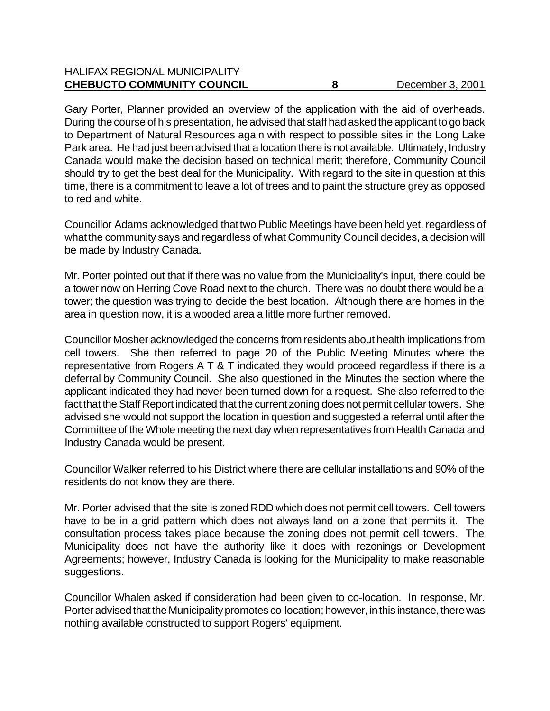#### HALIFAX REGIONAL MUNICIPALITY **CHEBUCTO COMMUNITY COUNCIL 6** 8 December 3, 2001

Gary Porter, Planner provided an overview of the application with the aid of overheads. During the course of his presentation, he advised that staff had asked the applicant to go back to Department of Natural Resources again with respect to possible sites in the Long Lake Park area. He had just been advised that a location there is not available. Ultimately, Industry Canada would make the decision based on technical merit; therefore, Community Council should try to get the best deal for the Municipality. With regard to the site in question at this time, there is a commitment to leave a lot of trees and to paint the structure grey as opposed to red and white.

Councillor Adams acknowledged that two Public Meetings have been held yet, regardless of what the community says and regardless of what Community Council decides, a decision will be made by Industry Canada.

Mr. Porter pointed out that if there was no value from the Municipality's input, there could be a tower now on Herring Cove Road next to the church. There was no doubt there would be a tower; the question was trying to decide the best location. Although there are homes in the area in question now, it is a wooded area a little more further removed.

Councillor Mosher acknowledged the concerns from residents about health implications from cell towers. She then referred to page 20 of the Public Meeting Minutes where the representative from Rogers A T & T indicated they would proceed regardless if there is a deferral by Community Council. She also questioned in the Minutes the section where the applicant indicated they had never been turned down for a request. She also referred to the fact that the Staff Report indicated that the current zoning does not permit cellular towers. She advised she would not support the location in question and suggested a referral until after the Committee of the Whole meeting the next day when representatives from Health Canada and Industry Canada would be present.

Councillor Walker referred to his District where there are cellular installations and 90% of the residents do not know they are there.

Mr. Porter advised that the site is zoned RDD which does not permit cell towers. Cell towers have to be in a grid pattern which does not always land on a zone that permits it. The consultation process takes place because the zoning does not permit cell towers. The Municipality does not have the authority like it does with rezonings or Development Agreements; however, Industry Canada is looking for the Municipality to make reasonable suggestions.

Councillor Whalen asked if consideration had been given to co-location. In response, Mr. Porter advised that the Municipality promotes co-location; however, in this instance, there was nothing available constructed to support Rogers' equipment.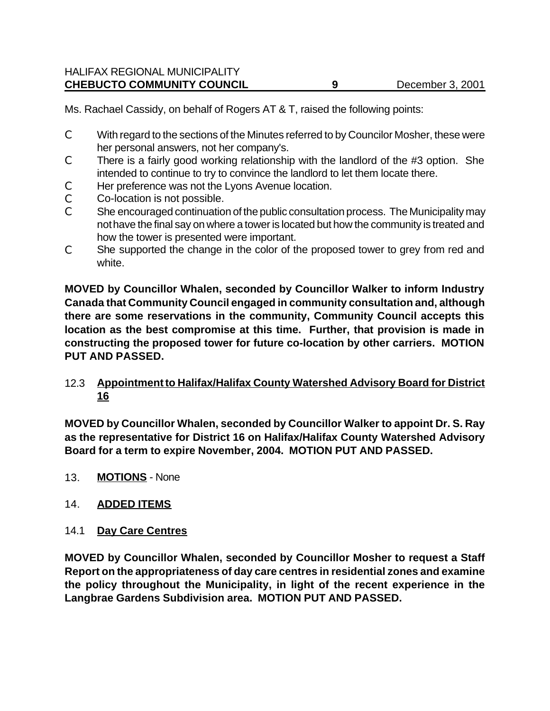Ms. Rachael Cassidy, on behalf of Rogers AT & T, raised the following points:

- C With regard to the sections of the Minutes referred to by Councilor Mosher, these were her personal answers, not her company's.
- C There is a fairly good working relationship with the landlord of the #3 option. She intended to continue to try to convince the landlord to let them locate there.
- C Her preference was not the Lyons Avenue location.
- C Co-location is not possible.
- C She encouraged continuation of the public consultation process. The Municipality may not have the final say on where a tower is located but how the community is treated and how the tower is presented were important.
- C She supported the change in the color of the proposed tower to grey from red and white.

**MOVED by Councillor Whalen, seconded by Councillor Walker to inform Industry Canada that Community Council engaged in community consultation and, although there are some reservations in the community, Community Council accepts this location as the best compromise at this time. Further, that provision is made in constructing the proposed tower for future co-location by other carriers. MOTION PUT AND PASSED.**

12.3 **Appointment to Halifax/Halifax County Watershed Advisory Board for District 16**

**MOVED by Councillor Whalen, seconded by Councillor Walker to appoint Dr. S. Ray as the representative for District 16 on Halifax/Halifax County Watershed Advisory Board for a term to expire November, 2004. MOTION PUT AND PASSED.**

13. **MOTIONS** - None

#### 14. **ADDED ITEMS**

#### 14.1 **Day Care Centres**

**MOVED by Councillor Whalen, seconded by Councillor Mosher to request a Staff Report on the appropriateness of day care centres in residential zones and examine the policy throughout the Municipality, in light of the recent experience in the Langbrae Gardens Subdivision area. MOTION PUT AND PASSED.**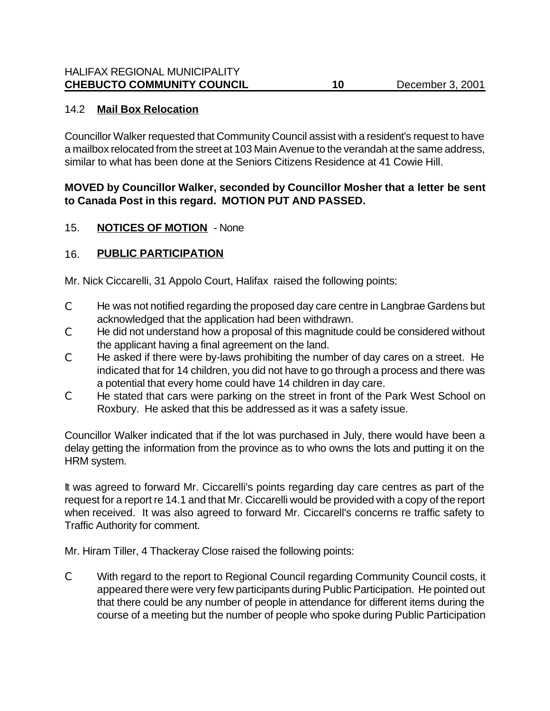### 14.2 **Mail Box Relocation**

Councillor Walker requested that Community Council assist with a resident's request to have a mailbox relocated from the street at 103 Main Avenue to the verandah at the same address, similar to what has been done at the Seniors Citizens Residence at 41 Cowie Hill.

### **MOVED by Councillor Walker, seconded by Councillor Mosher that a letter be sent to Canada Post in this regard. MOTION PUT AND PASSED.**

### 15. **NOTICES OF MOTION** - None

## 16. **PUBLIC PARTICIPATION**

Mr. Nick Ciccarelli, 31 Appolo Court, Halifax raised the following points:

- C He was not notified regarding the proposed day care centre in Langbrae Gardens but acknowledged that the application had been withdrawn.
- C He did not understand how a proposal of this magnitude could be considered without the applicant having a final agreement on the land.
- C He asked if there were by-laws prohibiting the number of day cares on a street. He indicated that for 14 children, you did not have to go through a process and there was a potential that every home could have 14 children in day care.
- C He stated that cars were parking on the street in front of the Park West School on Roxbury. He asked that this be addressed as it was a safety issue.

Councillor Walker indicated that if the lot was purchased in July, there would have been a delay getting the information from the province as to who owns the lots and putting it on the HRM system.

It was agreed to forward Mr. Ciccarelli's points regarding day care centres as part of the request for a report re 14.1 and that Mr. Ciccarelli would be provided with a copy of the report when received. It was also agreed to forward Mr. Ciccarell's concerns re traffic safety to Traffic Authority for comment.

Mr. Hiram Tiller, 4 Thackeray Close raised the following points:

C With regard to the report to Regional Council regarding Community Council costs, it appeared there were very few participants during Public Participation. He pointed out that there could be any number of people in attendance for different items during the course of a meeting but the number of people who spoke during Public Participation